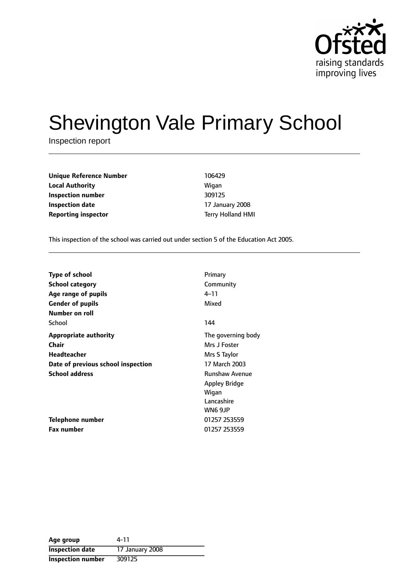

# Shevington Vale Primary School

Inspection report

**Unique Reference Number** 106429 **Local Authority Migan Inspection number** 309125 **Inspection date** 17 January 2008 **Reporting inspector** Terry Holland HMI

This inspection of the school was carried out under section 5 of the Education Act 2005.

| <b>Type of school</b>              | Primary               |
|------------------------------------|-----------------------|
| School category                    | Community             |
| Age range of pupils                | 4–11                  |
| <b>Gender of pupils</b>            | Mixed                 |
| Number on roll                     |                       |
| School                             | 144                   |
| <b>Appropriate authority</b>       | The governing body    |
| Chair                              | Mrs J Foster          |
| Headteacher                        | Mrs S Taylor          |
| Date of previous school inspection | 17 March 2003         |
| <b>School address</b>              | <b>Runshaw Avenue</b> |
|                                    | Appley Bridge         |
|                                    | Wigan                 |
|                                    | Lancashire            |
|                                    | WN6 9JP               |
| Telephone number                   | 01257 253559          |
| <b>Fax number</b>                  | 01257 253559          |

| Age group                | 4-11            |
|--------------------------|-----------------|
| <b>Inspection date</b>   | 17 January 2008 |
| <b>Inspection number</b> | 309125          |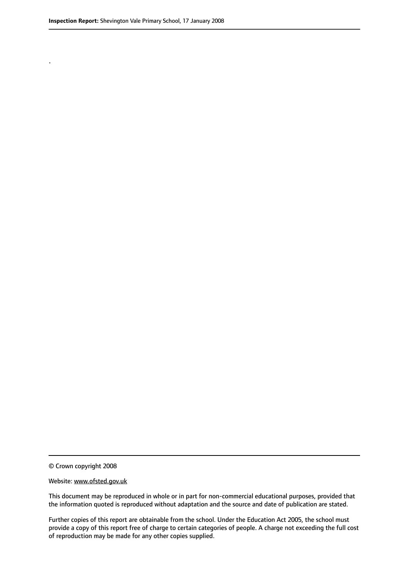.

© Crown copyright 2008

#### Website: www.ofsted.gov.uk

This document may be reproduced in whole or in part for non-commercial educational purposes, provided that the information quoted is reproduced without adaptation and the source and date of publication are stated.

Further copies of this report are obtainable from the school. Under the Education Act 2005, the school must provide a copy of this report free of charge to certain categories of people. A charge not exceeding the full cost of reproduction may be made for any other copies supplied.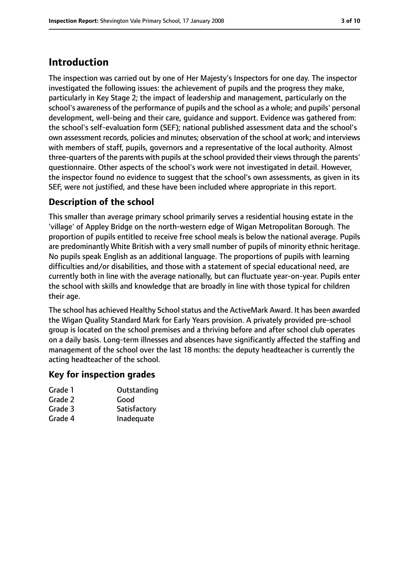## **Introduction**

The inspection was carried out by one of Her Majesty's Inspectors for one day. The inspector investigated the following issues: the achievement of pupils and the progress they make, particularly in Key Stage 2; the impact of leadership and management, particularly on the school's awareness of the performance of pupils and the school as a whole; and pupils' personal development, well-being and their care, guidance and support. Evidence was gathered from: the school's self-evaluation form (SEF); national published assessment data and the school's own assessment records, policies and minutes; observation of the school at work; and interviews with members of staff, pupils, governors and a representative of the local authority. Almost three-quarters of the parents with pupils at the school provided their viewsthrough the parents' questionnaire. Other aspects of the school's work were not investigated in detail. However, the inspector found no evidence to suggest that the school's own assessments, as given in its SEF, were not justified, and these have been included where appropriate in this report.

#### **Description of the school**

This smaller than average primary school primarily serves a residential housing estate in the 'village' of Appley Bridge on the north-western edge of Wigan Metropolitan Borough. The proportion of pupils entitled to receive free school meals is below the national average. Pupils are predominantly White British with a very small number of pupils of minority ethnic heritage. No pupils speak English as an additional language. The proportions of pupils with learning difficulties and/or disabilities, and those with a statement of special educational need, are currently both in line with the average nationally, but can fluctuate year-on-year. Pupils enter the school with skills and knowledge that are broadly in line with those typical for children their age.

The school has achieved Healthy School status and the ActiveMark Award. It has been awarded the Wigan Quality Standard Mark for Early Years provision. A privately provided pre-school group is located on the school premises and a thriving before and after school club operates on a daily basis. Long-term illnesses and absences have significantly affected the staffing and management of the school over the last 18 months: the deputy headteacher is currently the acting headteacher of the school.

#### **Key for inspection grades**

| Grade 1 | Outstanding |
|---------|-------------|
| Grade 2 | Good        |

- Grade 3 Satisfactory
- Grade 4 Inadequate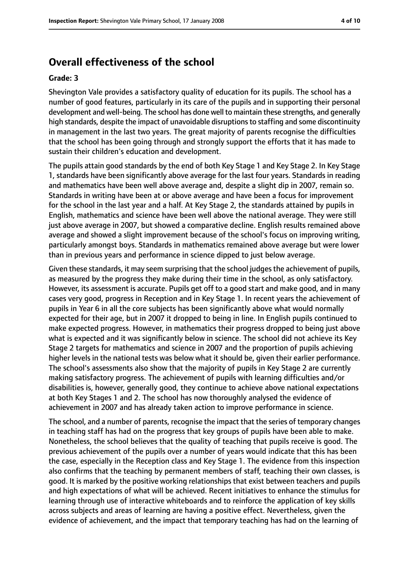## **Overall effectiveness of the school**

#### **Grade: 3**

Shevington Vale provides a satisfactory quality of education for its pupils. The school has a number of good features, particularly in its care of the pupils and in supporting their personal development and well-being. The school has done well to maintain these strengths, and generally high standards, despite the impact of unavoidable disruptions to staffing and some discontinuity in management in the last two years. The great majority of parents recognise the difficulties that the school has been going through and strongly support the efforts that it has made to sustain their children's education and development.

The pupils attain good standards by the end of both Key Stage 1 and Key Stage 2. In Key Stage 1, standards have been significantly above average for the last four years. Standards in reading and mathematics have been well above average and, despite a slight dip in 2007, remain so. Standards in writing have been at or above average and have been a focus for improvement for the school in the last year and a half. At Key Stage 2, the standards attained by pupils in English, mathematics and science have been well above the national average. They were still just above average in 2007, but showed a comparative decline. English results remained above average and showed a slight improvement because of the school's focus on improving writing, particularly amongst boys. Standards in mathematics remained above average but were lower than in previous years and performance in science dipped to just below average.

Given these standards, it may seem surprising that the school judges the achievement of pupils, as measured by the progress they make during their time in the school, as only satisfactory. However, its assessment is accurate. Pupils get off to a good start and make good, and in many cases very good, progress in Reception and in Key Stage 1. In recent years the achievement of pupils in Year 6 in all the core subjects has been significantly above what would normally expected for their age, but in 2007 it dropped to being in line. In English pupils continued to make expected progress. However, in mathematics their progress dropped to being just above what is expected and it was significantly below in science. The school did not achieve its Key Stage 2 targets for mathematics and science in 2007 and the proportion of pupils achieving higher levels in the national tests was below what it should be, given their earlier performance. The school's assessments also show that the majority of pupils in Key Stage 2 are currently making satisfactory progress. The achievement of pupils with learning difficulties and/or disabilities is, however, generally good, they continue to achieve above national expectations at both Key Stages 1 and 2. The school has now thoroughly analysed the evidence of achievement in 2007 and has already taken action to improve performance in science.

The school, and a number of parents, recognise the impact that the series of temporary changes in teaching staff has had on the progress that key groups of pupils have been able to make. Nonetheless, the school believes that the quality of teaching that pupils receive is good. The previous achievement of the pupils over a number of years would indicate that this has been the case, especially in the Reception class and Key Stage 1. The evidence from this inspection also confirms that the teaching by permanent members of staff, teaching their own classes, is good. It is marked by the positive working relationships that exist between teachers and pupils and high expectations of what will be achieved. Recent initiatives to enhance the stimulus for learning through use of interactive whiteboards and to reinforce the application of key skills across subjects and areas of learning are having a positive effect. Nevertheless, given the evidence of achievement, and the impact that temporary teaching has had on the learning of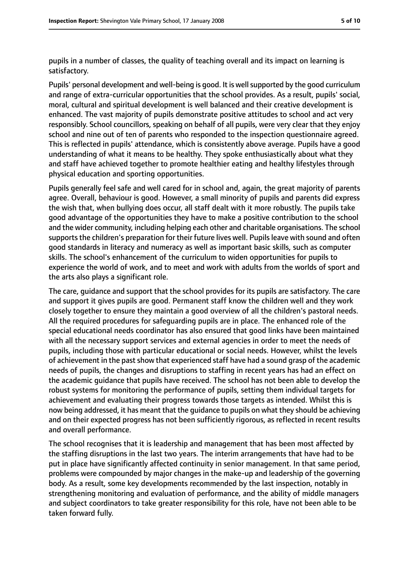pupils in a number of classes, the quality of teaching overall and its impact on learning is satisfactory.

Pupils' personal development and well-being is good. It is well supported by the good curriculum and range of extra-curricular opportunities that the school provides. As a result, pupils' social, moral, cultural and spiritual development is well balanced and their creative development is enhanced. The vast majority of pupils demonstrate positive attitudes to school and act very responsibly. School councillors, speaking on behalf of all pupils, were very clear that they enjoy school and nine out of ten of parents who responded to the inspection questionnaire agreed. This is reflected in pupils' attendance, which is consistently above average. Pupils have a good understanding of what it means to be healthy. They spoke enthusiastically about what they and staff have achieved together to promote healthier eating and healthy lifestyles through physical education and sporting opportunities.

Pupils generally feel safe and well cared for in school and, again, the great majority of parents agree. Overall, behaviour is good. However, a small minority of pupils and parents did express the wish that, when bullying does occur, all staff dealt with it more robustly. The pupils take good advantage of the opportunities they have to make a positive contribution to the school and the wider community, including helping each other and charitable organisations. The school supports the children's preparation for their future lives well. Pupils leave with sound and often good standards in literacy and numeracy as well as important basic skills, such as computer skills. The school's enhancement of the curriculum to widen opportunities for pupils to experience the world of work, and to meet and work with adults from the worlds of sport and the arts also plays a significant role.

The care, guidance and support that the school provides for its pupils are satisfactory. The care and support it gives pupils are good. Permanent staff know the children well and they work closely together to ensure they maintain a good overview of all the children's pastoral needs. All the required procedures for safeguarding pupils are in place. The enhanced role of the special educational needs coordinator has also ensured that good links have been maintained with all the necessary support services and external agencies in order to meet the needs of pupils, including those with particular educational or social needs. However, whilst the levels of achievement in the past show that experienced staff have had a sound grasp of the academic needs of pupils, the changes and disruptions to staffing in recent years has had an effect on the academic guidance that pupils have received. The school has not been able to develop the robust systems for monitoring the performance of pupils, setting them individual targets for achievement and evaluating their progress towards those targets as intended. Whilst this is now being addressed, it has meant that the guidance to pupils on what they should be achieving and on their expected progress has not been sufficiently rigorous, as reflected in recent results and overall performance.

The school recognises that it is leadership and management that has been most affected by the staffing disruptions in the last two years. The interim arrangements that have had to be put in place have significantly affected continuity in senior management. In that same period, problems were compounded by major changes in the make-up and leadership of the governing body. As a result, some key developments recommended by the last inspection, notably in strengthening monitoring and evaluation of performance, and the ability of middle managers and subject coordinators to take greater responsibility for this role, have not been able to be taken forward fully.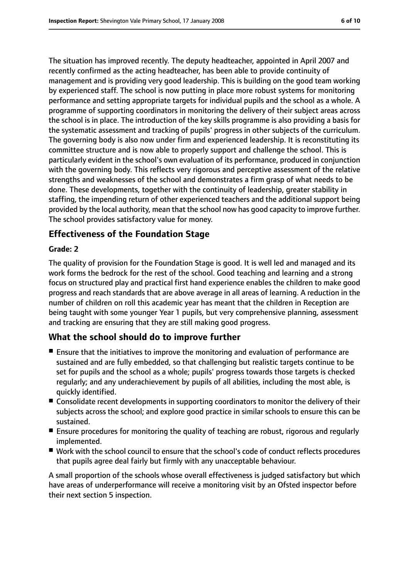The situation has improved recently. The deputy headteacher, appointed in April 2007 and recently confirmed as the acting headteacher, has been able to provide continuity of management and is providing very good leadership. This is building on the good team working by experienced staff. The school is now putting in place more robust systems for monitoring performance and setting appropriate targets for individual pupils and the school as a whole. A programme of supporting coordinators in monitoring the delivery of their subject areas across the school is in place. The introduction of the key skills programme is also providing a basis for the systematic assessment and tracking of pupils' progress in other subjects of the curriculum. The governing body is also now under firm and experienced leadership. It is reconstituting its committee structure and is now able to properly support and challenge the school. This is particularly evident in the school's own evaluation of its performance, produced in conjunction with the governing body. This reflects very rigorous and perceptive assessment of the relative strengths and weaknesses of the school and demonstrates a firm grasp of what needs to be done. These developments, together with the continuity of leadership, greater stability in staffing, the impending return of other experienced teachers and the additional support being provided by the local authority, mean that the school now has good capacity to improve further. The school provides satisfactory value for money.

#### **Effectiveness of the Foundation Stage**

#### **Grade: 2**

The quality of provision for the Foundation Stage is good. It is well led and managed and its work forms the bedrock for the rest of the school. Good teaching and learning and a strong focus on structured play and practical first hand experience enables the children to make good progress and reach standards that are above average in all areas of learning. A reduction in the number of children on roll this academic year has meant that the children in Reception are being taught with some younger Year 1 pupils, but very comprehensive planning, assessment and tracking are ensuring that they are still making good progress.

#### **What the school should do to improve further**

- Ensure that the initiatives to improve the monitoring and evaluation of performance are sustained and are fully embedded, so that challenging but realistic targets continue to be set for pupils and the school as a whole; pupils' progress towards those targets is checked regularly; and any underachievement by pupils of all abilities, including the most able, is quickly identified.
- Consolidate recent developments in supporting coordinators to monitor the delivery of their subjects across the school; and explore good practice in similar schools to ensure this can be sustained.
- Ensure procedures for monitoring the quality of teaching are robust, rigorous and regularly implemented.
- Work with the school council to ensure that the school's code of conduct reflects procedures that pupils agree deal fairly but firmly with any unacceptable behaviour.

A small proportion of the schools whose overall effectiveness is judged satisfactory but which have areas of underperformance will receive a monitoring visit by an Ofsted inspector before their next section 5 inspection.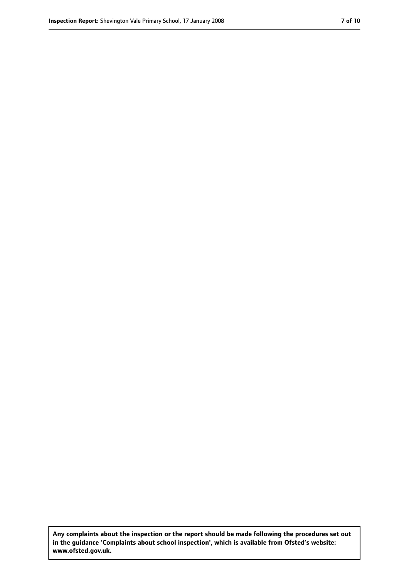**Any complaints about the inspection or the report should be made following the procedures set out in the guidance 'Complaints about school inspection', which is available from Ofsted's website: www.ofsted.gov.uk.**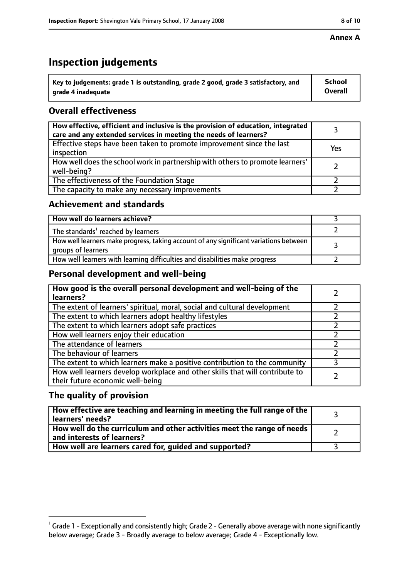# **Inspection judgements**

| $^{\backprime}$ Key to judgements: grade 1 is outstanding, grade 2 good, grade 3 satisfactory, and | <b>School</b>  |
|----------------------------------------------------------------------------------------------------|----------------|
| arade 4 inadeguate                                                                                 | <b>Overall</b> |

## **Overall effectiveness**

| How effective, efficient and inclusive is the provision of education, integrated<br>care and any extended services in meeting the needs of learners? |     |
|------------------------------------------------------------------------------------------------------------------------------------------------------|-----|
| Effective steps have been taken to promote improvement since the last<br>inspection                                                                  | Yes |
| How well does the school work in partnership with others to promote learners'<br>well-being?                                                         |     |
| The effectiveness of the Foundation Stage                                                                                                            |     |
| The capacity to make any necessary improvements                                                                                                      |     |

#### **Achievement and standards**

| How well do learners achieve?                                                                               |  |
|-------------------------------------------------------------------------------------------------------------|--|
| The standards <sup>1</sup> reached by learners                                                              |  |
| How well learners make progress, taking account of any significant variations between<br>groups of learners |  |
| How well learners with learning difficulties and disabilities make progress                                 |  |

#### **Personal development and well-being**

| How good is the overall personal development and well-being of the<br>learners?                                  |  |
|------------------------------------------------------------------------------------------------------------------|--|
| The extent of learners' spiritual, moral, social and cultural development                                        |  |
| The extent to which learners adopt healthy lifestyles                                                            |  |
| The extent to which learners adopt safe practices                                                                |  |
| How well learners enjoy their education                                                                          |  |
| The attendance of learners                                                                                       |  |
| The behaviour of learners                                                                                        |  |
| The extent to which learners make a positive contribution to the community                                       |  |
| How well learners develop workplace and other skills that will contribute to<br>their future economic well-being |  |

#### **The quality of provision**

| How effective are teaching and learning in meeting the full range of the<br>learners' needs?          |  |
|-------------------------------------------------------------------------------------------------------|--|
| How well do the curriculum and other activities meet the range of needs<br>and interests of learners? |  |
| How well are learners cared for, quided and supported?                                                |  |

 $^1$  Grade 1 - Exceptionally and consistently high; Grade 2 - Generally above average with none significantly below average; Grade 3 - Broadly average to below average; Grade 4 - Exceptionally low.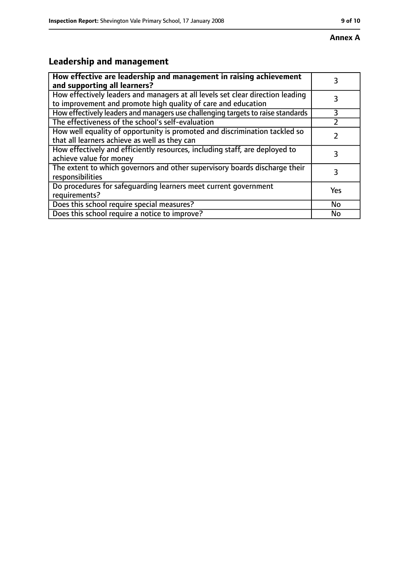# **Leadership and management**

| How effective are leadership and management in raising achievement<br>and supporting all learners?                                              |     |
|-------------------------------------------------------------------------------------------------------------------------------------------------|-----|
| How effectively leaders and managers at all levels set clear direction leading<br>to improvement and promote high quality of care and education |     |
| How effectively leaders and managers use challenging targets to raise standards                                                                 | 3   |
| The effectiveness of the school's self-evaluation                                                                                               |     |
| How well equality of opportunity is promoted and discrimination tackled so<br>that all learners achieve as well as they can                     |     |
| How effectively and efficiently resources, including staff, are deployed to<br>achieve value for money                                          | 3   |
| The extent to which governors and other supervisory boards discharge their<br>responsibilities                                                  | 3   |
| Do procedures for safeguarding learners meet current government<br>requirements?                                                                | Yes |
| Does this school require special measures?                                                                                                      | No  |
| Does this school require a notice to improve?                                                                                                   | No  |